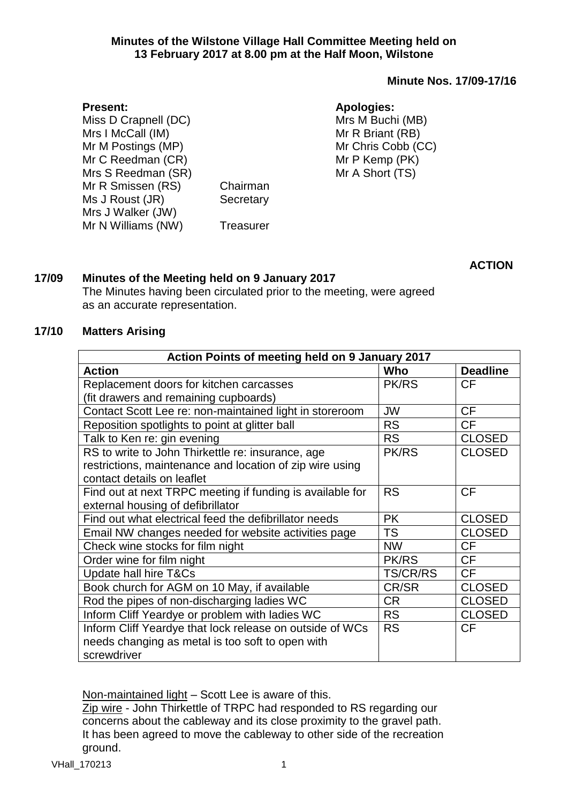#### **Minutes of the Wilstone Village Hall Committee Meeting held on 13 February 2017 at 8.00 pm at the Half Moon, Wilstone**

## **Minute Nos. 17/09-17/16**

## **Apologies:**

Mrs M Buchi (MB) Mr R Briant (RB) Mr Chris Cobb (CC) Mr P Kemp (PK) Mr A Short (TS)

Miss D Crapnell (DC) Mrs I McCall (IM) Mr M Postings (MP) Mr C Reedman (CR) Mrs S Reedman (SR) Mr R Smissen (RS) Chairman Ms J Roust (JR) Secretary Mrs J Walker (JW) Mr N Williams (NW) Treasurer

**ACTION**

# **17/09 Minutes of the Meeting held on 9 January 2017**

The Minutes having been circulated prior to the meeting, were agreed as an accurate representation.

## **17/10 Matters Arising**

**Present:**

| Action Points of meeting held on 9 January 2017           |                 |                 |  |
|-----------------------------------------------------------|-----------------|-----------------|--|
| <b>Action</b>                                             | Who             | <b>Deadline</b> |  |
| Replacement doors for kitchen carcasses                   | <b>PK/RS</b>    | <b>CF</b>       |  |
| (fit drawers and remaining cupboards)                     |                 |                 |  |
| Contact Scott Lee re: non-maintained light in storeroom   | <b>JW</b>       | <b>CF</b>       |  |
| Reposition spotlights to point at glitter ball            | <b>RS</b>       | <b>CF</b>       |  |
| Talk to Ken re: gin evening                               | <b>RS</b>       | <b>CLOSED</b>   |  |
| RS to write to John Thirkettle re: insurance, age         | <b>PK/RS</b>    | <b>CLOSED</b>   |  |
| restrictions, maintenance and location of zip wire using  |                 |                 |  |
| contact details on leaflet                                |                 |                 |  |
| Find out at next TRPC meeting if funding is available for | <b>RS</b>       | <b>CF</b>       |  |
| external housing of defibrillator                         |                 |                 |  |
| Find out what electrical feed the defibrillator needs     | <b>PK</b>       | <b>CLOSED</b>   |  |
| Email NW changes needed for website activities page       | <b>TS</b>       | <b>CLOSED</b>   |  |
| Check wine stocks for film night                          | <b>NW</b>       | <b>CF</b>       |  |
| Order wine for film night                                 | <b>PK/RS</b>    | <b>CF</b>       |  |
| Update hall hire T&Cs                                     | <b>TS/CR/RS</b> | <b>CF</b>       |  |
| Book church for AGM on 10 May, if available               | CR/SR           | <b>CLOSED</b>   |  |
| Rod the pipes of non-discharging ladies WC                | CR.             | <b>CLOSED</b>   |  |
| Inform Cliff Yeardye or problem with ladies WC            | <b>RS</b>       | <b>CLOSED</b>   |  |
| Inform Cliff Yeardye that lock release on outside of WCs  | <b>RS</b>       | СF              |  |
| needs changing as metal is too soft to open with          |                 |                 |  |
| screwdriver                                               |                 |                 |  |

Non-maintained light – Scott Lee is aware of this.

Zip wire - John Thirkettle of TRPC had responded to RS regarding our concerns about the cableway and its close proximity to the gravel path. It has been agreed to move the cableway to other side of the recreation ground.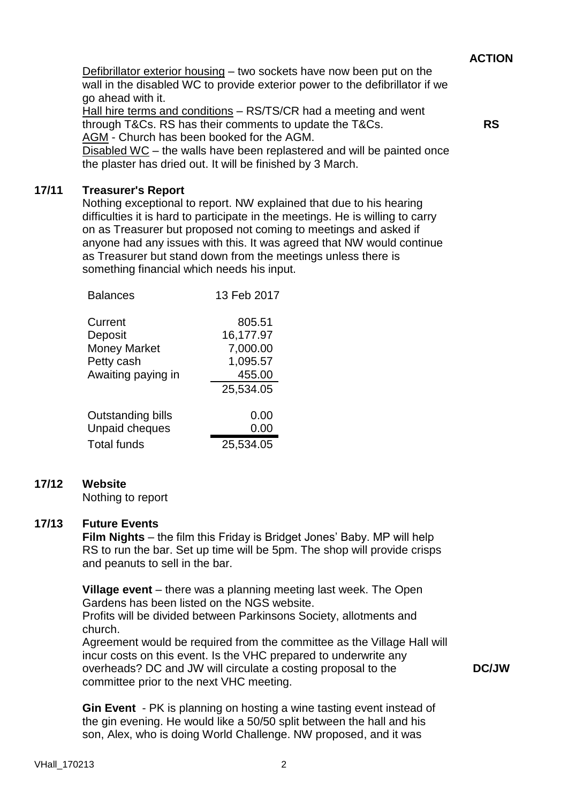Defibrillator exterior housing – two sockets have now been put on the wall in the disabled WC to provide exterior power to the defibrillator if we go ahead with it.

Hall hire terms and conditions – RS/TS/CR had a meeting and went through T&Cs. RS has their comments to update the T&Cs. AGM - Church has been booked for the AGM.

**RS**

Disabled WC – the walls have been replastered and will be painted once the plaster has dried out. It will be finished by 3 March.

## **17/11 Treasurer's Report**

Nothing exceptional to report. NW explained that due to his hearing difficulties it is hard to participate in the meetings. He is willing to carry on as Treasurer but proposed not coming to meetings and asked if anyone had any issues with this. It was agreed that NW would continue as Treasurer but stand down from the meetings unless there is something financial which needs his input.

| <b>Balances</b>       | 13 Feb 2017 |
|-----------------------|-------------|
| Current               | 805.51      |
| Deposit               | 16,177.97   |
| <b>Money Market</b>   | 7,000.00    |
| Petty cash            | 1,095.57    |
| Awaiting paying in    | 455.00      |
|                       | 25,534.05   |
| Outstanding bills     | 0.00        |
| <b>Unpaid cheques</b> | 0.00        |
| <b>Total funds</b>    | 25,534.05   |

# **17/12 Website**

Nothing to report

## **17/13 Future Events**

**Film Nights** – the film this Friday is Bridget Jones' Baby. MP will help RS to run the bar. Set up time will be 5pm. The shop will provide crisps and peanuts to sell in the bar.

**Village event** – there was a planning meeting last week. The Open Gardens has been listed on the NGS website.

Profits will be divided between Parkinsons Society, allotments and church.

Agreement would be required from the committee as the Village Hall will incur costs on this event. Is the VHC prepared to underwrite any overheads? DC and JW will circulate a costing proposal to the committee prior to the next VHC meeting.

**DC/JW**

**Gin Event** - PK is planning on hosting a wine tasting event instead of the gin evening. He would like a 50/50 split between the hall and his son, Alex, who is doing World Challenge. NW proposed, and it was